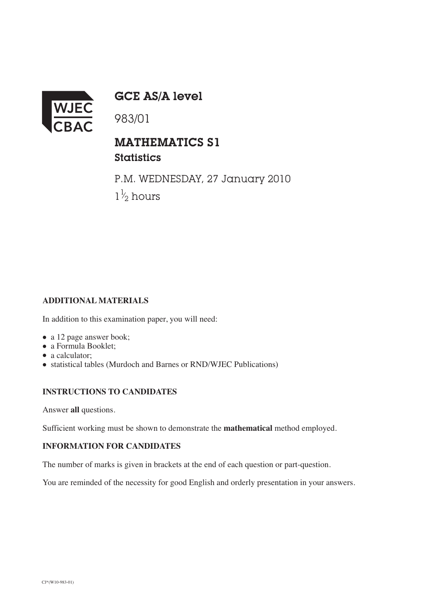

GCE AS/A level

983/01

## MATHEMATICS S1

**Statistics** 

P.M. WEDNESDAY, 27 January 2010  $1\frac{1}{2}$  hours ⁄

## **ADDITIONAL MATERIALS**

In addition to this examination paper, you will need:

- a 12 page answer book;
- a Formula Booklet:
- a calculator:
- statistical tables (Murdoch and Barnes or RND/WJEC Publications)

## **INSTRUCTIONS TO CANDIDATES**

Answer **all** questions.

Sufficient working must be shown to demonstrate the **mathematical** method employed.

## **INFORMATION FOR CANDIDATES**

The number of marks is given in brackets at the end of each question or part-question.

You are reminded of the necessity for good English and orderly presentation in your answers.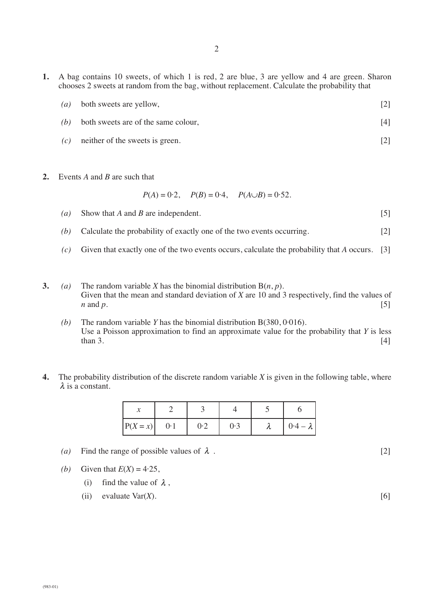**1.** A bag contains 10 sweets, of which 1 is red, 2 are blue, 3 are yellow and 4 are green. Sharon chooses 2 sweets at random from the bag, without replacement. Calculate the probability that

2

|  | $(a)$ both sweets are yellow, |  |
|--|-------------------------------|--|
|--|-------------------------------|--|

- *(b)* both sweets are of the same colour, [4]
- *(c)* neither of the sweets is green. [2]
- **2.** Events *A* and *B* are such that

$$
P(A) = 0.2
$$
,  $P(B) = 0.4$ ,  $P(A \cup B) = 0.52$ .

- *(a)* Show that *A* and *B* are independent. [5]
- *(b)* Calculate the probability of exactly one of the two events occurring. [2]
- *(c)* Given that exactly one of the two events occurs, calculate the probability that *A* occurs. [3]
- **3.** *(a)* The random variable *X* has the binomial distribution  $B(n, p)$ . Given that the mean and standard deviation of *X* are 10 and 3 respectively, find the values of *n* and *p*.  $[5]$ 
	- *(b)* The random variable *Y* has the binomial distribution B(380, 0·016). Use a Poisson approximation to find an approximate value for the probability that *Y* is less  $\text{than } 3.$  [4]
- **4.** The probability distribution of the discrete random variable *X* is given in the following table, where  $\lambda$  is a constant.

| $ P(X=x) $ | 0.1 | 0.2 | 0.3 | Λ | $0.4 - \lambda$ |
|------------|-----|-----|-----|---|-----------------|

- (a) Find the range of possible values of  $\lambda$ . [2]
- *(b)* Given that  $E(X) = 4.25$ ,
	- (i) find the value of  $\lambda$ ,
	- (ii) evaluate Var(*X*). [6]